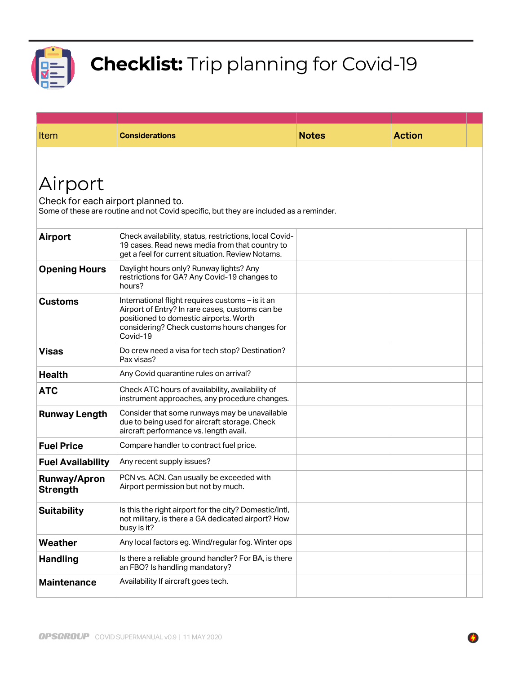

## Checklist: Trip planning for Covid-19

| Item                                   | <b>Considerations</b>                                                                                                                                                                                     | <b>Notes</b> | <b>Action</b> |  |
|----------------------------------------|-----------------------------------------------------------------------------------------------------------------------------------------------------------------------------------------------------------|--------------|---------------|--|
|                                        |                                                                                                                                                                                                           |              |               |  |
| Airport                                |                                                                                                                                                                                                           |              |               |  |
| Check for each airport planned to.     |                                                                                                                                                                                                           |              |               |  |
|                                        | Some of these are routine and not Covid specific, but they are included as a reminder.                                                                                                                    |              |               |  |
| Airport                                | Check availability, status, restrictions, local Covid-<br>19 cases. Read news media from that country to<br>get a feel for current situation. Review Notams.                                              |              |               |  |
| <b>Opening Hours</b>                   | Daylight hours only? Runway lights? Any<br>restrictions for GA? Any Covid-19 changes to<br>hours?                                                                                                         |              |               |  |
| <b>Customs</b>                         | International flight requires customs - is it an<br>Airport of Entry? In rare cases, customs can be<br>positioned to domestic airports. Worth<br>considering? Check customs hours changes for<br>Covid-19 |              |               |  |
| <b>Visas</b>                           | Do crew need a visa for tech stop? Destination?<br>Pax visas?                                                                                                                                             |              |               |  |
| <b>Health</b>                          | Any Covid quarantine rules on arrival?                                                                                                                                                                    |              |               |  |
| <b>ATC</b>                             | Check ATC hours of availability, availability of<br>instrument approaches, any procedure changes.                                                                                                         |              |               |  |
| <b>Runway Length</b>                   | Consider that some runways may be unavailable<br>due to being used for aircraft storage. Check<br>aircraft performance vs. length avail.                                                                  |              |               |  |
| <b>Fuel Price</b>                      | Compare handler to contract fuel price.                                                                                                                                                                   |              |               |  |
| <b>Fuel Availability</b>               | Any recent supply issues?                                                                                                                                                                                 |              |               |  |
| <b>Runway/Apron</b><br><b>Strength</b> | PCN vs. ACN. Can usually be exceeded with<br>Airport permission but not by much.                                                                                                                          |              |               |  |
| <b>Suitability</b>                     | Is this the right airport for the city? Domestic/Intl,<br>not military, is there a GA dedicated airport? How<br>busy is it?                                                                               |              |               |  |
| Weather                                | Any local factors eg. Wind/regular fog. Winter ops                                                                                                                                                        |              |               |  |
| <b>Handling</b>                        | Is there a reliable ground handler? For BA, is there<br>an FBO? Is handling mandatory?                                                                                                                    |              |               |  |
| <b>Maintenance</b>                     | Availability If aircraft goes tech.                                                                                                                                                                       |              |               |  |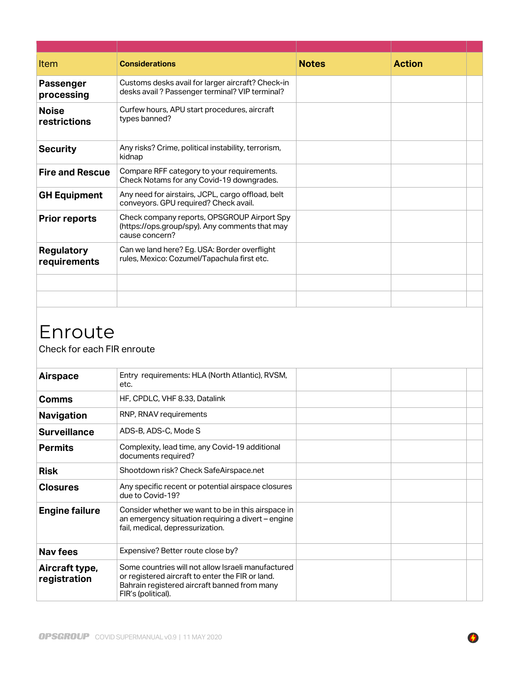| Item                              | <b>Considerations</b>                                                                                           | <b>Notes</b> | <b>Action</b> |  |
|-----------------------------------|-----------------------------------------------------------------------------------------------------------------|--------------|---------------|--|
| <b>Passenger</b><br>processing    | Customs desks avail for larger aircraft? Check-in<br>desks avail ? Passenger terminal? VIP terminal?            |              |               |  |
| <b>Noise</b><br>restrictions      | Curfew hours, APU start procedures, aircraft<br>types banned?                                                   |              |               |  |
| <b>Security</b>                   | Any risks? Crime, political instability, terrorism,<br>kidnap                                                   |              |               |  |
| <b>Fire and Rescue</b>            | Compare RFF category to your requirements.<br>Check Notams for any Covid-19 downgrades.                         |              |               |  |
| <b>GH Equipment</b>               | Any need for airstairs, JCPL, cargo offload, belt<br>conveyors. GPU required? Check avail.                      |              |               |  |
| <b>Prior reports</b>              | Check company reports, OPSGROUP Airport Spy<br>(https://ops.group/spy). Any comments that may<br>cause concern? |              |               |  |
| <b>Regulatory</b><br>requirements | Can we land here? Eg. USA: Border overflight<br>rules, Mexico: Cozumel/Tapachula first etc.                     |              |               |  |
|                                   |                                                                                                                 |              |               |  |
|                                   |                                                                                                                 |              |               |  |

## Enroute

Check for each FIR enroute

| <b>Airspace</b>                | Entry requirements: HLA (North Atlantic), RVSM,<br>etc.                                                                                                                      |  |  |
|--------------------------------|------------------------------------------------------------------------------------------------------------------------------------------------------------------------------|--|--|
| Comms                          | HF, CPDLC, VHF 8.33, Datalink                                                                                                                                                |  |  |
| <b>Navigation</b>              | RNP, RNAV requirements                                                                                                                                                       |  |  |
| <b>Surveillance</b>            | ADS-B, ADS-C, Mode S                                                                                                                                                         |  |  |
| <b>Permits</b>                 | Complexity, lead time, any Covid-19 additional<br>documents required?                                                                                                        |  |  |
| <b>Risk</b>                    | Shootdown risk? Check SafeAirspace.net                                                                                                                                       |  |  |
| <b>Closures</b>                | Any specific recent or potential airspace closures<br>due to Covid-19?                                                                                                       |  |  |
| <b>Engine failure</b>          | Consider whether we want to be in this airspace in<br>an emergency situation requiring a divert – engine<br>fail, medical, depressurization.                                 |  |  |
| <b>Nav fees</b>                | Expensive? Better route close by?                                                                                                                                            |  |  |
| Aircraft type,<br>registration | Some countries will not allow Israeli manufactured<br>or registered aircraft to enter the FIR or land.<br>Bahrain registered aircraft banned from many<br>FIR's (political). |  |  |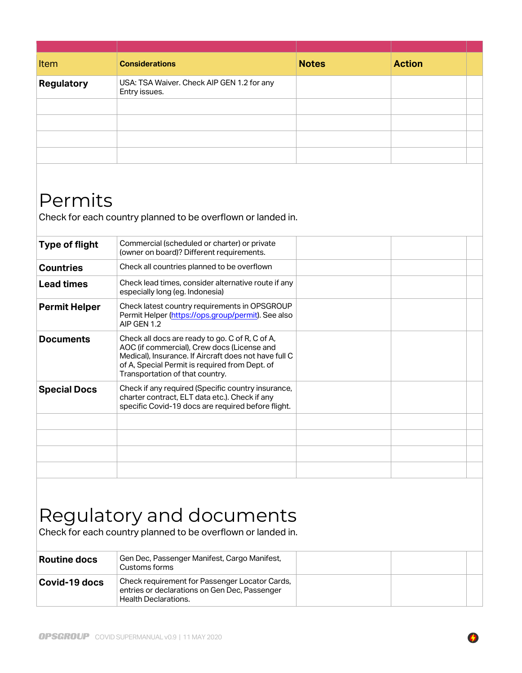| Item                             | <b>Considerations</b>                                                                                                                                     | <b>Notes</b> | <b>Action</b> |  |
|----------------------------------|-----------------------------------------------------------------------------------------------------------------------------------------------------------|--------------|---------------|--|
| <b>Regulatory</b>                | USA: TSA Waiver. Check AIP GEN 1.2 for any<br>Entry issues.                                                                                               |              |               |  |
|                                  |                                                                                                                                                           |              |               |  |
|                                  |                                                                                                                                                           |              |               |  |
|                                  |                                                                                                                                                           |              |               |  |
|                                  |                                                                                                                                                           |              |               |  |
| Permits<br><b>Type of flight</b> | Check for each country planned to be overflown or landed in.<br>Commercial (scheduled or charter) or private<br>(owner on board)? Different requirements. |              |               |  |
| <b>Countries</b>                 | Check all countries planned to be overflown                                                                                                               |              |               |  |
| <b>Lead times</b>                | Check lead times, consider alternative route if any<br>especially long (eg. Indonesia)                                                                    |              |               |  |
| <b>Permit Helper</b>             | Check latest country requirements in OPSGROUP<br>Permit Helper (https://ops.group/permit). See also<br>AIP GEN 1.2                                        |              |               |  |
| <b>Documents</b>                 | Check all docs are ready to go. C of R, C of A,<br>AOC (if commercial), Crew docs (License and                                                            |              |               |  |

| <b>Documents</b>    | Check all docs are ready to go. C of R, C of A,<br>AOC (if commercial). Crew docs (License and<br>Medical), Insurance. If Aircraft does not have full C<br>of A, Special Permit is required from Dept. of<br>Transportation of that country. |  |  |
|---------------------|----------------------------------------------------------------------------------------------------------------------------------------------------------------------------------------------------------------------------------------------|--|--|
| <b>Special Docs</b> | Check if any required (Specific country insurance,<br>charter contract, ELT data etc.). Check if any<br>specific Covid-19 docs are required before flight.                                                                                   |  |  |
|                     |                                                                                                                                                                                                                                              |  |  |
|                     |                                                                                                                                                                                                                                              |  |  |
|                     |                                                                                                                                                                                                                                              |  |  |
|                     |                                                                                                                                                                                                                                              |  |  |
|                     |                                                                                                                                                                                                                                              |  |  |

## Regulatory and documents

Check for each country planned to be overflown or landed in.

| Routine docs  | Gen Dec, Passenger Manifest, Cargo Manifest,<br>Customs forms                                                                  |  |  |
|---------------|--------------------------------------------------------------------------------------------------------------------------------|--|--|
| Covid-19 docs | Check requirement for Passenger Locator Cards,<br>entries or declarations on Gen Dec, Passenger<br><b>Health Declarations.</b> |  |  |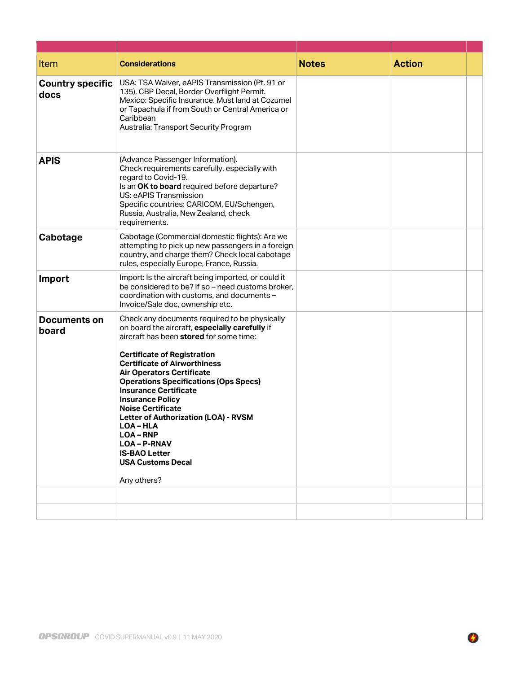| Item                            | <b>Considerations</b>                                                                                                                                                                                                                                                                                                                                                                                                                                                                                                                                                         | <b>Notes</b> | <b>Action</b> |  |
|---------------------------------|-------------------------------------------------------------------------------------------------------------------------------------------------------------------------------------------------------------------------------------------------------------------------------------------------------------------------------------------------------------------------------------------------------------------------------------------------------------------------------------------------------------------------------------------------------------------------------|--------------|---------------|--|
| <b>Country specific</b><br>docs | USA: TSA Waiver, eAPIS Transmission (Pt. 91 or<br>135), CBP Decal, Border Overflight Permit.<br>Mexico: Specific Insurance. Must land at Cozumel<br>or Tapachula if from South or Central America or<br>Caribbean<br>Australia: Transport Security Program                                                                                                                                                                                                                                                                                                                    |              |               |  |
| <b>APIS</b>                     | (Advance Passenger Information).<br>Check requirements carefully, especially with<br>regard to Covid-19.<br>Is an OK to board required before departure?<br>US: eAPIS Transmission<br>Specific countries: CARICOM, EU/Schengen,<br>Russia, Australia, New Zealand, check<br>requirements.                                                                                                                                                                                                                                                                                     |              |               |  |
| Cabotage                        | Cabotage (Commercial domestic flights): Are we<br>attempting to pick up new passengers in a foreign<br>country, and charge them? Check local cabotage<br>rules, especially Europe, France, Russia.                                                                                                                                                                                                                                                                                                                                                                            |              |               |  |
| Import                          | Import: Is the aircraft being imported, or could it<br>be considered to be? If so - need customs broker,<br>coordination with customs, and documents -<br>Invoice/Sale doc, ownership etc.                                                                                                                                                                                                                                                                                                                                                                                    |              |               |  |
| Documents on<br>board           | Check any documents required to be physically<br>on board the aircraft, especially carefully if<br>aircraft has been stored for some time:<br><b>Certificate of Registration</b><br><b>Certificate of Airworthiness</b><br><b>Air Operators Certificate</b><br><b>Operations Specifications (Ops Specs)</b><br><b>Insurance Certificate</b><br><b>Insurance Policy</b><br><b>Noise Certificate</b><br><b>Letter of Authorization (LOA) - RVSM</b><br><b>LOA-HLA</b><br><b>LOA-RNP</b><br><b>LOA-P-RNAV</b><br><b>IS-BAO Letter</b><br><b>USA Customs Decal</b><br>Any others? |              |               |  |
|                                 |                                                                                                                                                                                                                                                                                                                                                                                                                                                                                                                                                                               |              |               |  |